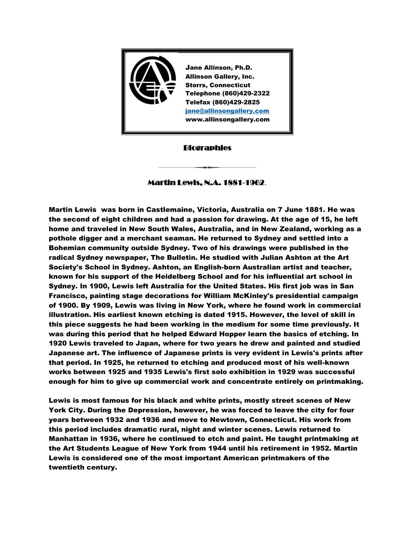

# **Biographies**

# Martin Lewis, N.A. 1881-1962**.**

Martin Lewis was born in Castlemaine, Victoria, Australia on 7 June 1881. He was the second of eight children and had a passion for drawing. At the age of 15, he left home and traveled in New South Wales, Australia, and in New Zealand, working as a pothole digger and a merchant seaman. He returned to Sydney and settled into a Bohemian community outside Sydney. Two of his drawings were published in the radical Sydney newspaper, The Bulletin. He studied with Julian Ashton at the Art Society's School in Sydney. Ashton, an English-born Australian artist and teacher, known for his support of the Heidelberg School and for his influential art school in Sydney. In 1900, Lewis left Australia for the United States. His first job was in San Francisco, painting stage decorations for William McKinley's presidential campaign of 1900. By 1909, Lewis was living in New York, where he found work in commercial illustration. His earliest known etching is dated 1915. However, the level of skill in this piece suggests he had been working in the medium for some time previously. It was during this period that he helped Edward Hopper learn the basics of etching. In 1920 Lewis traveled to Japan, where for two years he drew and painted and studied Japanese art. The influence of Japanese prints is very evident in Lewis's prints after that period. In 1925, he returned to etching and produced most of his well-known works between 1925 and 1935 Lewis's first solo exhibition in 1929 was successful enough for him to give up commercial work and concentrate entirely on printmaking.

Lewis is most famous for his black and white prints, mostly street scenes of New York City. During the Depression, however, he was forced to leave the city for four years between 1932 and 1936 and move to Newtown, Connecticut. His work from this period includes dramatic rural, night and winter scenes. Lewis returned to Manhattan in 1936, where he continued to etch and paint. He taught printmaking at the Art Students League of New York from 1944 until his retirement in 1952. Martin Lewis is considered one of the most important American printmakers of the twentieth century.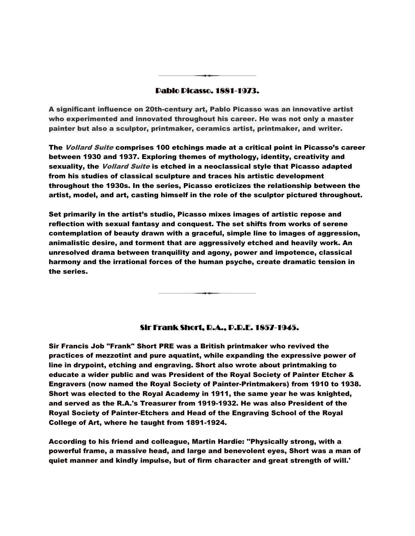#### Pablo Picasso. 1881-1973.

A significant influence on 20th-century art, Pablo Picasso was an innovative artist who experimented and innovated throughout his career. He was not only a master painter but also a sculptor, printmaker, ceramics artist, printmaker, and writer.

The *Vollard Suite* comprises 100 etchings made at a critical point in Picasso's career between 1930 and 1937. Exploring themes of mythology, identity, creativity and sexuality, the *Vollard Suite* is etched in a neoclassical style that Picasso adapted from his studies of classical sculpture and traces his artistic development throughout the 1930s. In the series, Picasso eroticizes the relationship between the artist, model, and art, casting himself in the role of the sculptor pictured throughout.

Set primarily in the artist's studio, Picasso mixes images of artistic repose and reflection with sexual fantasy and conquest. The set shifts from works of serene contemplation of beauty drawn with a graceful, simple line to images of aggression, animalistic desire, and torment that are aggressively etched and heavily work. An unresolved drama between tranquility and agony, power and impotence, classical harmony and the irrational forces of the human psyche, create dramatic tension in the series.

## Sir Frank Short, R.A., P.R.E. 1857-1945.

Sir Francis Job "Frank" Short PRE was a British printmaker who revived the practices of mezzotint and pure aquatint, while expanding the expressive power of line in drypoint, etching and engraving. Short also wrote about printmaking to educate a wider public and was President of the Royal Society of Painter Etcher & Engravers (now named the Royal Society of Painter-Printmakers) from 1910 to 1938. Short was elected to the Royal Academy in 1911, the same year he was knighted, and served as the R.A.'s Treasurer from 1919-1932. He was also President of the Royal Society of Painter-Etchers and Head of the Engraving School of the Royal College of Art, where he taught from 1891-1924.

According to his friend and colleague, Martin Hardie: ''Physically strong, with a powerful frame, a massive head, and large and benevolent eyes, Short was a man of quiet manner and kindly impulse, but of firm character and great strength of will.'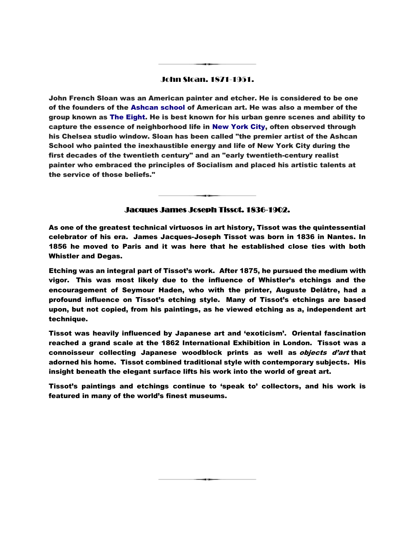### John Sloan. 1871-1951.

John French Sloan was an American painter and etcher. He is considered to be one of the founders of the [Ashcan school](https://en.wikipedia.org/wiki/Ashcan_school) of American art. He was also a member of the group known as [The Eight.](https://en.wikipedia.org/wiki/The_Eight_(Ashcan_School)) He is best known for his urban genre scenes and ability to capture the essence of neighborhood life in [New York City,](https://en.wikipedia.org/wiki/New_York_City) often observed through his Chelsea studio window. Sloan has been called "the premier artist of the Ashcan School who painted the inexhaustible energy and life of New York City during the first decades of the twentieth century" and an "early twentieth-century realist painter who embraced the principles of Socialism and placed his artistic talents at the service of those beliefs."

## Jacques James Joseph Tissot. 1836-1902.

As one of the greatest technical virtuosos in art history, Tissot was the quintessential celebrator of his era. James Jacques-Joseph Tissot was born in 1836 in Nantes. In 1856 he moved to Paris and it was here that he established close ties with both Whistler and Degas.

Etching was an integral part of Tissot's work. After 1875, he pursued the medium with vigor. This was most likely due to the influence of Whistler's etchings and the encouragement of Seymour Haden, who with the printer, Auguste Delâtre, had a profound influence on Tissot's etching style. Many of Tissot's etchings are based upon, but not copied, from his paintings, as he viewed etching as a, independent art technique.

Tissot was heavily influenced by Japanese art and 'exoticism'. Oriental fascination reached a grand scale at the 1862 International Exhibition in London. Tissot was a connoisseur collecting Japanese woodblock prints as well as *objects d'art* that adorned his home. Tissot combined traditional style with contemporary subjects. His insight beneath the elegant surface lifts his work into the world of great art.

Tissot's paintings and etchings continue to 'speak to' collectors, and his work is featured in many of the world's finest museums.